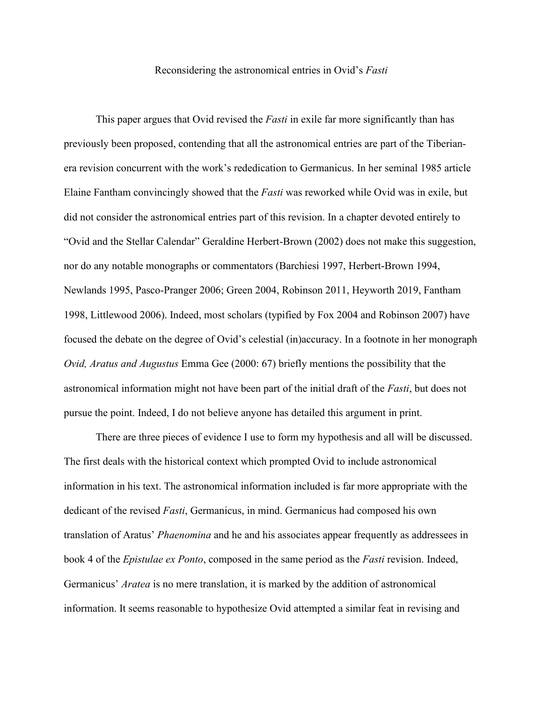## Reconsidering the astronomical entries in Ovid's *Fasti*

This paper argues that Ovid revised the *Fasti* in exile far more significantly than has previously been proposed, contending that all the astronomical entries are part of the Tiberianera revision concurrent with the work's rededication to Germanicus. In her seminal 1985 article Elaine Fantham convincingly showed that the *Fasti* was reworked while Ovid was in exile, but did not consider the astronomical entries part of this revision. In a chapter devoted entirely to "Ovid and the Stellar Calendar" Geraldine Herbert-Brown (2002) does not make this suggestion, nor do any notable monographs or commentators (Barchiesi 1997, Herbert-Brown 1994, Newlands 1995, Pasco-Pranger 2006; Green 2004, Robinson 2011, Heyworth 2019, Fantham 1998, Littlewood 2006). Indeed, most scholars (typified by Fox 2004 and Robinson 2007) have focused the debate on the degree of Ovid's celestial (in)accuracy. In a footnote in her monograph *Ovid, Aratus and Augustus* Emma Gee (2000: 67) briefly mentions the possibility that the astronomical information might not have been part of the initial draft of the *Fasti*, but does not pursue the point. Indeed, I do not believe anyone has detailed this argument in print.

There are three pieces of evidence I use to form my hypothesis and all will be discussed. The first deals with the historical context which prompted Ovid to include astronomical information in his text. The astronomical information included is far more appropriate with the dedicant of the revised *Fasti*, Germanicus, in mind. Germanicus had composed his own translation of Aratus' *Phaenomina* and he and his associates appear frequently as addressees in book 4 of the *Epistulae ex Ponto*, composed in the same period as the *Fasti* revision. Indeed, Germanicus' *Aratea* is no mere translation, it is marked by the addition of astronomical information. It seems reasonable to hypothesize Ovid attempted a similar feat in revising and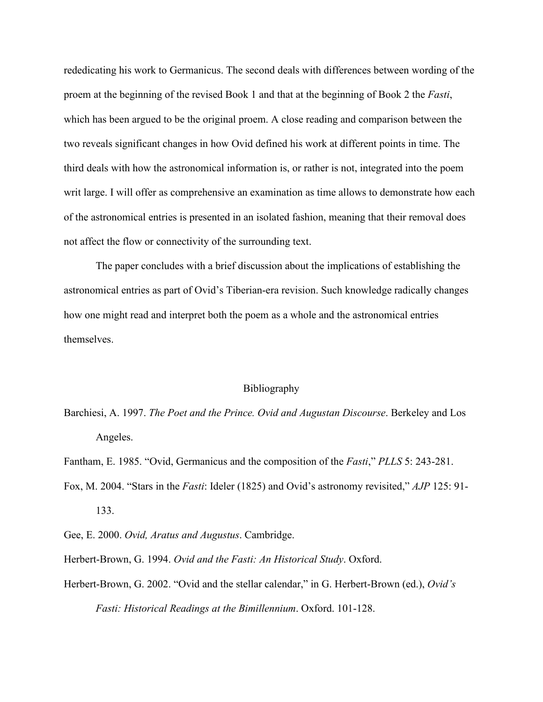rededicating his work to Germanicus. The second deals with differences between wording of the proem at the beginning of the revised Book 1 and that at the beginning of Book 2 the *Fasti*, which has been argued to be the original proem. A close reading and comparison between the two reveals significant changes in how Ovid defined his work at different points in time. The third deals with how the astronomical information is, or rather is not, integrated into the poem writ large. I will offer as comprehensive an examination as time allows to demonstrate how each of the astronomical entries is presented in an isolated fashion, meaning that their removal does not affect the flow or connectivity of the surrounding text.

The paper concludes with a brief discussion about the implications of establishing the astronomical entries as part of Ovid's Tiberian-era revision. Such knowledge radically changes how one might read and interpret both the poem as a whole and the astronomical entries themselves.

## Bibliography

Barchiesi, A. 1997. *The Poet and the Prince. Ovid and Augustan Discourse*. Berkeley and Los Angeles.

Fantham, E. 1985. "Ovid, Germanicus and the composition of the *Fasti*," *PLLS* 5: 243-281.

Fox, M. 2004. "Stars in the *Fasti*: Ideler (1825) and Ovid's astronomy revisited," *AJP* 125: 91- 133.

Gee, E. 2000. *Ovid, Aratus and Augustus*. Cambridge.

Herbert-Brown, G. 1994. *Ovid and the Fasti: An Historical Study*. Oxford.

Herbert-Brown, G. 2002. "Ovid and the stellar calendar," in G. Herbert-Brown (ed.), *Ovid's Fasti: Historical Readings at the Bimillennium*. Oxford. 101-128.